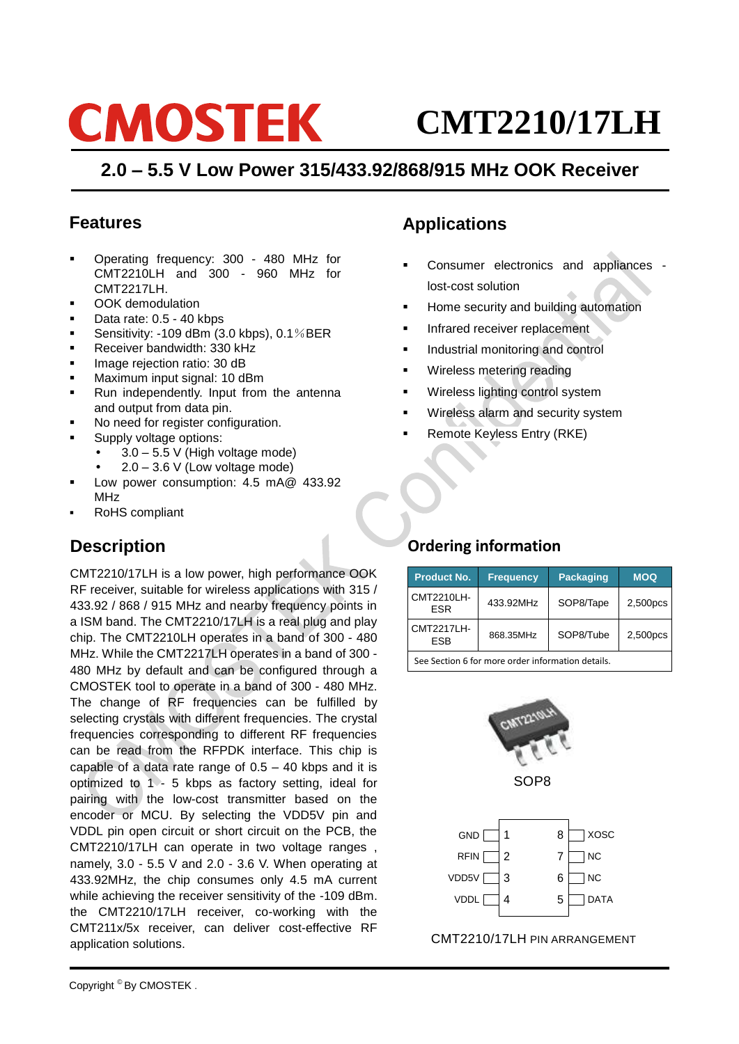# **CMOSTEK**

## **CMT2210/17LH**

## **2.0 – 5.5 V Low Power 315/433.92/868/915 MHz OOK Receiver**

## **Features**

- Operating frequency: 300 480 MHz for CMT2210LH and 300 - 960 MHz for CMT2217LH.
- OOK demodulation
- Data rate: 0.5 40 kbps
- Sensitivity: -109 dBm (3.0 kbps), 0.1%BER
- Receiver bandwidth: 330 kHz
- Image rejection ratio: 30 dB
- **Maximum input signal: 10 dBm**
- Run independently. Input from the antenna and output from data pin.
- No need for register configuration.
- Supply voltage options:
	- 3.0 5.5 V (High voltage mode)
	- 2.0 3.6 V (Low voltage mode)
- Low power consumption: 4.5 mA@ 433.92 MHz
- RoHS compliant

## **Description**

CMT2210/17LH is a low power, high performance OOK RF receiver, suitable for wireless applications with 315 / 433.92 / 868 / 915 MHz and nearby frequency points in a ISM band. The CMT2210/17LH is a real plug and play chip. The CMT2210LH operates in a band of 300 - 480 MHz. While the CMT2217LH operates in a band of 300 - 480 MHz by default and can be configured through a CMOSTEK tool to operate in a band of 300 - 480 MHz. The change of RF frequencies can be fulfilled by selecting crystals with different frequencies. The crystal frequencies corresponding to different RF frequencies can be read from the RFPDK interface. This chip is capable of a data rate range of  $0.5 - 40$  kbps and it is optimized to  $1 - 5$  kbps as factory setting, ideal for pairing with the low-cost transmitter based on the encoder or MCU. By selecting the VDD5V pin and VDDL pin open circuit or short circuit on the PCB, the CMT2210/17LH can operate in two voltage ranges , namely, 3.0 - 5.5 V and 2.0 - 3.6 V. When operating at 433.92MHz, the chip consumes only 4.5 mA current while achieving the receiver sensitivity of the -109 dBm. the CMT2210/17LH receiver, co-working with the CMT211x/5x receiver, can deliver cost-effective RF application solutions.

## **Applications**

- Consumer electronics and appliances lost-cost solution
- Home security and building automation
- Infrared receiver replacement
- Industrial monitoring and control
- Wireless metering reading
- Wireless lighting control system
- Wireless alarm and security system
- Remote Keyless Entry (RKE)

## **Ordering information**

| <b>Product No.</b>                                                    | <b>Frequency</b> | <b>Packaging</b> | <b>MOQ</b> |  |  |  |
|-----------------------------------------------------------------------|------------------|------------------|------------|--|--|--|
| CMT2210LH-<br><b>ESR</b>                                              | 433.92MHz        | SOP8/Tape        | 2,500pcs   |  |  |  |
| <b>CMT2217LH-</b><br>SOP8/Tube<br>868.35MHz<br>2,500pcs<br><b>ESB</b> |                  |                  |            |  |  |  |
| See Section 6 for more order information details.                     |                  |                  |            |  |  |  |



SOP8



CMT2210/17LH PIN ARRANGEMENT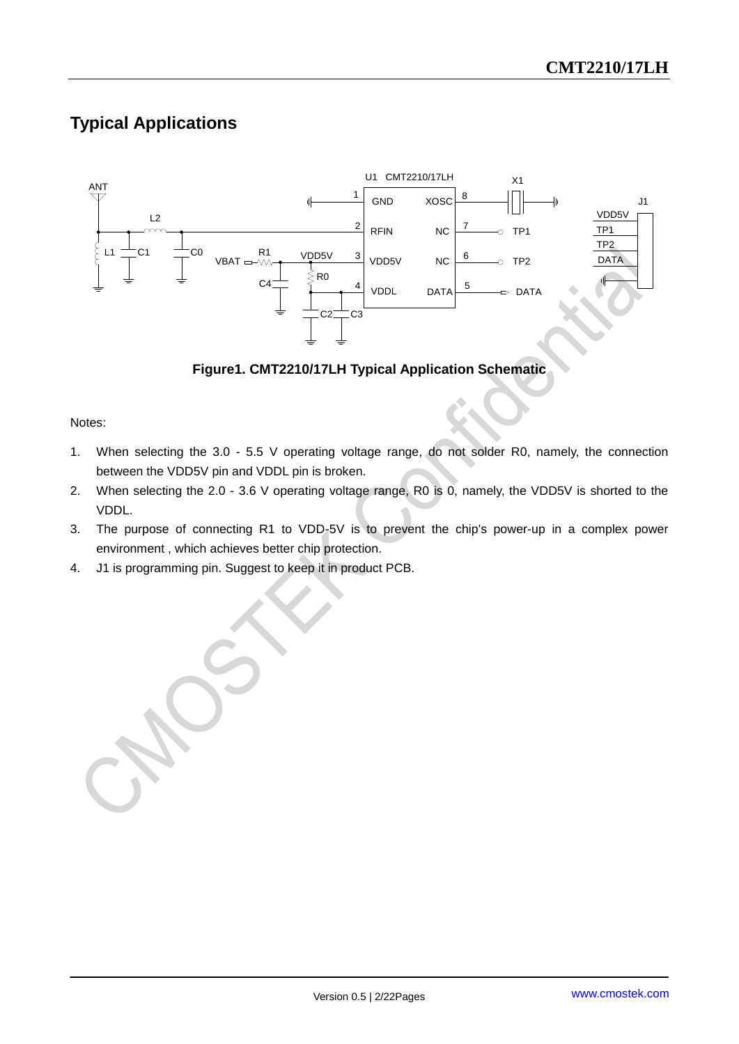## **Typical Applications**



#### **Figure1. CMT2210/17LH Typical Application Schematic**

#### Notes:

- 1. When selecting the 3.0 5.5 V operating voltage range, do not solder R0, namely, the connection between the VDD5V pin and VDDL pin is broken.
- 2. When selecting the 2.0 3.6 V operating voltage range, R0 is 0, namely, the VDD5V is shorted to the VDDL.
- 3. The purpose of connecting R1 to VDD-5V is to prevent the chip's power-up in a complex power environment , which achieves better chip protection.
- 4. J1 is programming pin. Suggest to keep it in product PCB.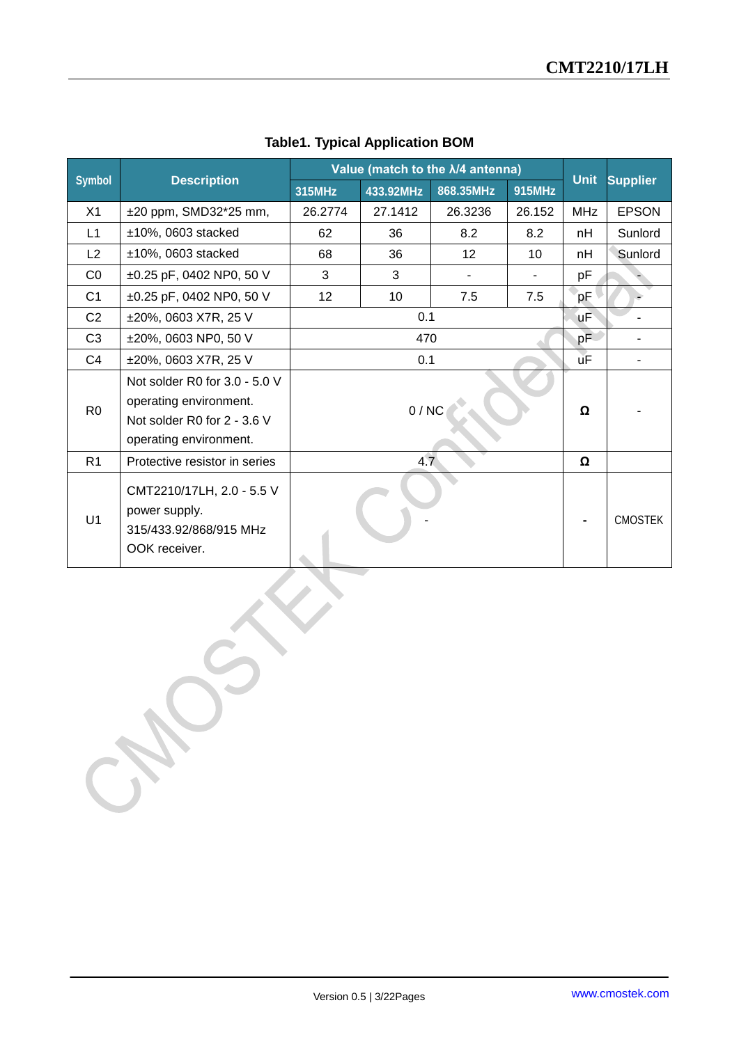|                |                               | Value (match to the $\lambda$ /4 antenna) |           |           | <b>Unit</b> |            |                              |
|----------------|-------------------------------|-------------------------------------------|-----------|-----------|-------------|------------|------------------------------|
| <b>Symbol</b>  | <b>Description</b>            | 315MHz                                    | 433.92MHz | 868.35MHz | 915MHz      |            | <b>Supplier</b>              |
| X1             | ±20 ppm, SMD32*25 mm,         | 26.2774                                   | 27.1412   | 26.3236   | 26.152      | <b>MHz</b> | <b>EPSON</b>                 |
| L1             | $±10\%$ , 0603 stacked        | 62                                        | 36        | 8.2       | 8.2         | nH         | Sunlord                      |
| L2             | $±10\%$ , 0603 stacked        | 68                                        | 36        | 12        | 10          | nH         | Sunlord                      |
| CO             | ±0.25 pF, 0402 NP0, 50 V      | 3                                         | 3         |           |             | pF         |                              |
| C <sub>1</sub> | ±0.25 pF, 0402 NP0, 50 V      | 12                                        | 10        | 7.5       | 7.5         | pF         | è                            |
| C <sub>2</sub> | ±20%, 0603 X7R, 25 V          |                                           | 0.1       |           |             | <b>uF</b>  |                              |
| C <sub>3</sub> | ±20%, 0603 NP0, 50 V          |                                           | 470       |           |             | pF         | $\qquad \qquad \blacksquare$ |
| C <sub>4</sub> | ±20%, 0603 X7R, 25 V          |                                           | 0.1       |           |             | <b>uF</b>  | $\blacksquare$               |
|                | Not solder R0 for 3.0 - 5.0 V |                                           |           |           |             |            |                              |
| R <sub>0</sub> | operating environment.        |                                           | 0/NC      |           |             | Ω          |                              |
|                | Not solder R0 for 2 - 3.6 V   |                                           |           |           |             |            |                              |
|                | operating environment.        |                                           |           |           |             |            |                              |
| R1             | Protective resistor in series |                                           | 4.7       |           |             | Ω          |                              |
|                | CMT2210/17LH, 2.0 - 5.5 V     |                                           |           |           |             |            |                              |
|                | power supply.                 |                                           |           |           |             |            |                              |
| U1             | 315/433.92/868/915 MHz        |                                           |           |           |             |            | <b>CMOSTEK</b>               |
|                | OOK receiver.                 |                                           |           |           |             |            |                              |
|                |                               |                                           |           |           |             |            |                              |

#### **Table1. Typical Application BOM**

Version 0.5 | 3/22Pages www.cmostek.com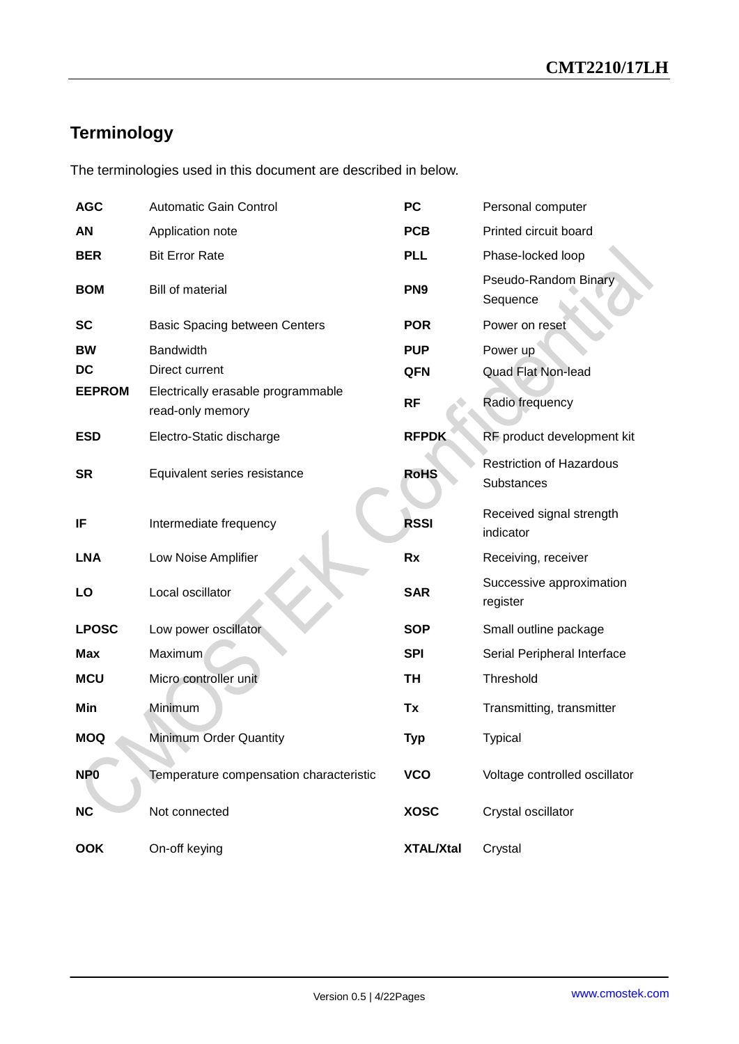## **Terminology**

The terminologies used in this document are described in below.

| <b>AGC</b>      | <b>Automatic Gain Control</b>                          | <b>PC</b>        | Personal computer                             |
|-----------------|--------------------------------------------------------|------------------|-----------------------------------------------|
| AN              | Application note                                       | <b>PCB</b>       | Printed circuit board                         |
| <b>BER</b>      | <b>Bit Error Rate</b>                                  | <b>PLL</b>       | Phase-locked loop                             |
| <b>BOM</b>      | <b>Bill of material</b>                                | PN <sub>9</sub>  | Pseudo-Random Binary<br>Sequence              |
| <b>SC</b>       | <b>Basic Spacing between Centers</b>                   | <b>POR</b>       | Power on reset                                |
| <b>BW</b>       | <b>Bandwidth</b>                                       | <b>PUP</b>       | Power up                                      |
| DC              | Direct current                                         | QFN              | <b>Quad Flat Non-lead</b>                     |
| <b>EEPROM</b>   | Electrically erasable programmable<br>read-only memory | <b>RF</b>        | Radio frequency                               |
| <b>ESD</b>      | Electro-Static discharge                               | <b>RFPDK</b>     | RF product development kit                    |
| <b>SR</b>       | Equivalent series resistance                           | <b>RoHS</b>      | <b>Restriction of Hazardous</b><br>Substances |
| IF              | Intermediate frequency                                 | <b>RSSI</b>      | Received signal strength<br>indicator         |
| <b>LNA</b>      | Low Noise Amplifier                                    | Rx               | Receiving, receiver                           |
| LO              | Local oscillator                                       | <b>SAR</b>       | Successive approximation<br>register          |
| <b>LPOSC</b>    | Low power oscillator                                   | <b>SOP</b>       | Small outline package                         |
| <b>Max</b>      | Maximum                                                | <b>SPI</b>       | Serial Peripheral Interface                   |
| <b>MCU</b>      | Micro controller unit                                  | <b>TH</b>        | Threshold                                     |
| Min             | Minimum                                                | Tx               | Transmitting, transmitter                     |
| <b>MOQ</b>      | Minimum Order Quantity                                 | <b>Typ</b>       | <b>Typical</b>                                |
| NP <sub>0</sub> | Temperature compensation characteristic                | <b>VCO</b>       | Voltage controlled oscillator                 |
| <b>NC</b>       | Not connected                                          | <b>XOSC</b>      | Crystal oscillator                            |
| <b>OOK</b>      | On-off keying                                          | <b>XTAL/Xtal</b> | Crystal                                       |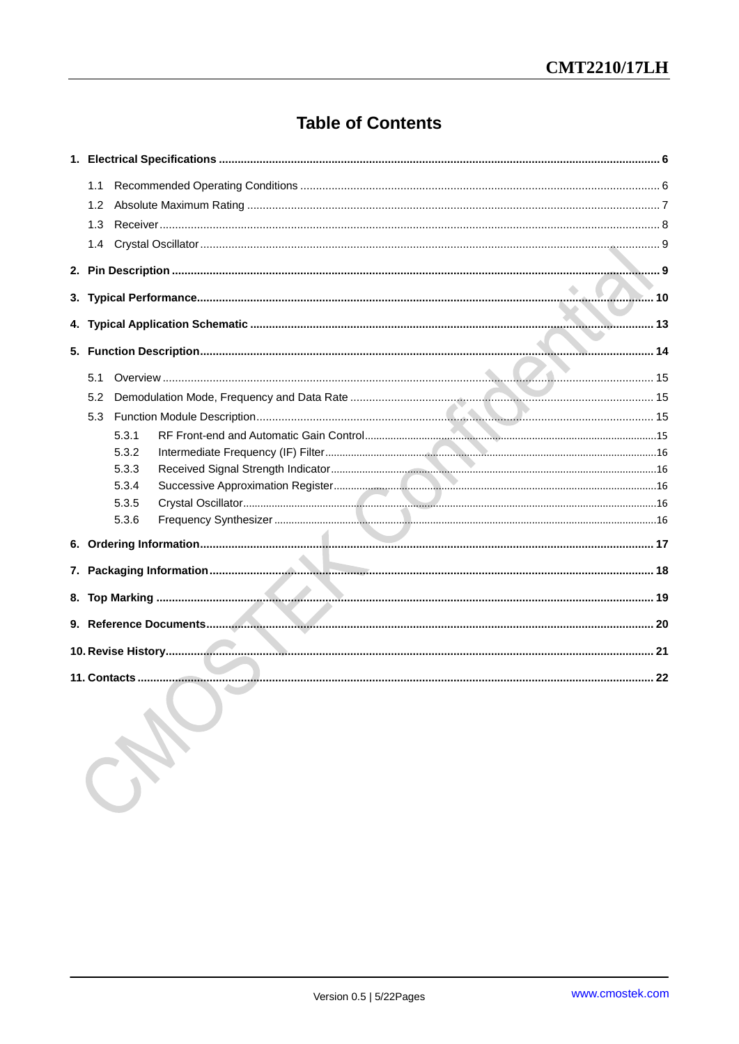## **Table of Contents**

| 1.1 |       |                          |  |
|-----|-------|--------------------------|--|
| 1.2 |       |                          |  |
| 1.3 |       |                          |  |
| 1.4 |       |                          |  |
|     |       |                          |  |
|     |       |                          |  |
|     |       |                          |  |
|     |       |                          |  |
|     |       |                          |  |
|     |       |                          |  |
| 5.1 |       |                          |  |
| 5.2 |       |                          |  |
| 5.3 |       |                          |  |
|     | 5.3.1 |                          |  |
|     | 5.3.2 |                          |  |
|     | 5.3.3 |                          |  |
|     | 5.3.4 |                          |  |
|     | 5.3.5 |                          |  |
|     | 5.3.6 |                          |  |
|     |       |                          |  |
|     |       |                          |  |
|     |       |                          |  |
|     |       |                          |  |
|     |       |                          |  |
|     |       |                          |  |
|     |       |                          |  |
|     |       |                          |  |
|     |       |                          |  |
|     |       | <b>Contract Contract</b> |  |

N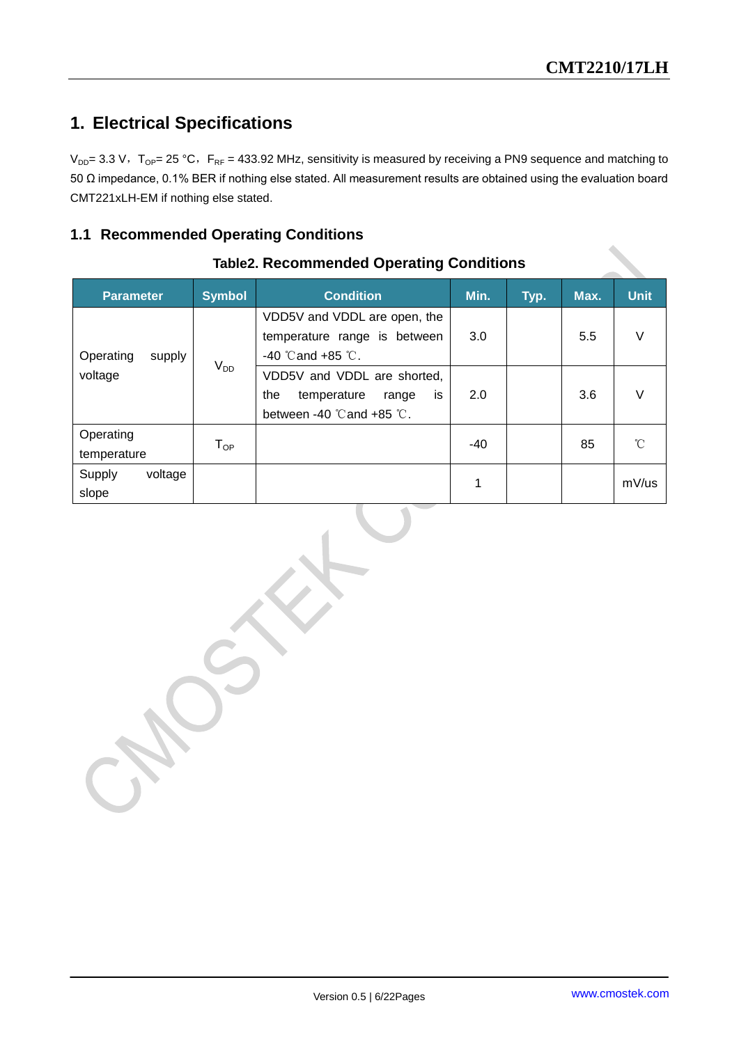## <span id="page-5-0"></span>**1. Electrical Specifications**

 $V_{DD}$ = 3.3 V, T<sub>OP</sub>= 25 °C, F<sub>RF</sub> = 433.92 MHz, sensitivity is measured by receiving a PN9 sequence and matching to 50 Ω impedance, 0.1% BER if nothing else stated. All measurement results are obtained using the evaluation board CMT221xLH-EM if nothing else stated.

#### <span id="page-5-1"></span>**1.1 Recommended Operating Conditions**

| <b>Symbol</b><br><b>Parameter</b> |                            | <b>Condition</b>                                                                                                | Min. | Typ. | Max. | <b>Unit</b> |
|-----------------------------------|----------------------------|-----------------------------------------------------------------------------------------------------------------|------|------|------|-------------|
| Operating<br>supply               |                            | VDD5V and VDDL are open, the<br>temperature range is between<br>$-40$ °C and $+85$ °C.                          | 3.0  |      | 5.5  | $\vee$      |
| $V_{DD}$<br>voltage               |                            | VDD5V and VDDL are shorted,<br>is<br>the<br>temperature<br>range<br>between -40 $\degree$ Cand +85 $\degree$ C. | 2.0  |      | 3.6  | V           |
| Operating<br>temperature          | $\mathsf{T}_{\mathsf{OP}}$ |                                                                                                                 | -40  |      | 85   | °C          |
| voltage<br>Supply<br>slope        |                            |                                                                                                                 | 1    |      |      | mV/us       |

#### **Table2. Recommended Operating Conditions**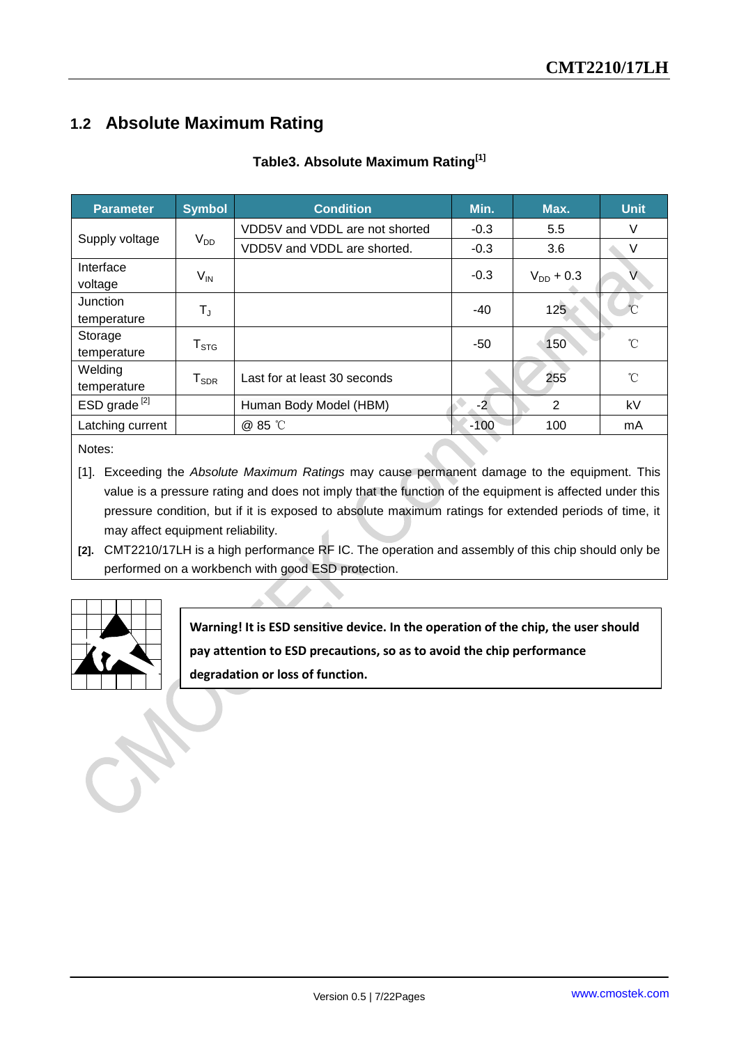## <span id="page-6-0"></span>**1.2 Absolute Maximum Rating**

#### **Table3. Absolute Maximum Rating[1]**

| <b>Parameter</b>         | <b>Symbol</b>          | <b>Condition</b>               | Min.   | Max.           | <b>Unit</b>  |
|--------------------------|------------------------|--------------------------------|--------|----------------|--------------|
|                          |                        | VDD5V and VDDL are not shorted | $-0.3$ | 5.5            | V            |
| Supply voltage           | $V_{DD}$               | VDD5V and VDDL are shorted.    | $-0.3$ | 3.6            | V            |
| Interface<br>voltage     | $V_{IN}$               |                                | $-0.3$ | $V_{DD}$ + 0.3 | V            |
| Junction<br>temperature  | $T_{J}$                |                                | $-40$  | 125            |              |
| Storage<br>temperature   | ${\sf T}_{\text{STG}}$ |                                | -50    | 150            | $^{\circ}$ C |
| Welding<br>temperature   | ${\sf T}_{\sf SDR}$    | Last for at least 30 seconds   |        | 255            | °C           |
| ESD grade <sup>[2]</sup> |                        | Human Body Model (HBM)         | $-2$   | 2              | kV           |
| Latching current         |                        | @ 85 °C                        | $-100$ | 100            | mA           |

Notes:

- [1]. Exceeding the *Absolute Maximum Ratings* may cause permanent damage to the equipment. This value is a pressure rating and does not imply that the function of the equipment is affected under this pressure condition, but if it is exposed to absolute maximum ratings for extended periods of time, it may affect equipment reliability.
- **[2].** CMT2210/17LH is a high performance RF IC. The operation and assembly of this chip should only be performed on a workbench with good ESD protection.

**Warning! It is ESD sensitive device. In the operation of the chip, the user should pay attention to ESD precautions, so as to avoid the chip performance degradation or loss of function.**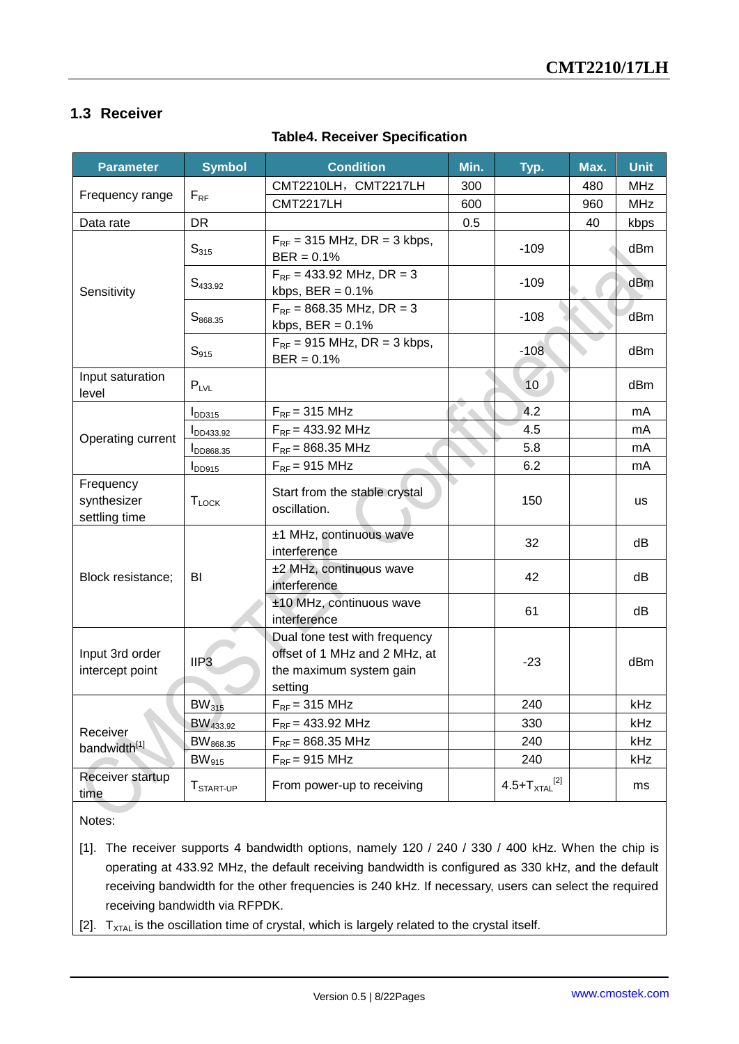#### <span id="page-7-0"></span>**1.3 Receiver**

#### **Table4. Receiver Specification**

| <b>Parameter</b>                          | <b>Symbol</b>         | <b>Condition</b>                                                                                     | Min. | Typ.                         | Max. | <b>Unit</b> |
|-------------------------------------------|-----------------------|------------------------------------------------------------------------------------------------------|------|------------------------------|------|-------------|
|                                           |                       | CMT2210LH, CMT2217LH                                                                                 | 300  |                              | 480  | MHz         |
| Frequency range                           | $F_{RF}$              | <b>CMT2217LH</b>                                                                                     | 600  |                              | 960  | <b>MHz</b>  |
| Data rate                                 | <b>DR</b>             |                                                                                                      | 0.5  |                              | 40   | kbps        |
|                                           | $S_{315}$             | $F_{RF}$ = 315 MHz, DR = 3 kbps,<br>$BER = 0.1%$                                                     |      | $-109$                       |      | dBm         |
| Sensitivity                               | $S_{433.92}$          | $F_{RF}$ = 433.92 MHz, DR = 3<br>kbps, $BER = 0.1\%$                                                 |      | $-109$                       |      | dBm         |
|                                           | $S_{868.35}$          | $F_{RF}$ = 868.35 MHz, DR = 3<br>kbps, $BER = 0.1\%$                                                 |      | $-108$                       |      | dBm         |
|                                           | $S_{915}$             | $F_{RF}$ = 915 MHz, DR = 3 kbps,<br>$BER = 0.1%$                                                     |      | $-108$                       |      | dBm         |
| Input saturation<br>level                 | $P_{LVL}$             |                                                                                                      |      | 10                           |      | dBm         |
|                                           | $I_{DD315}$           | $F_{RF}$ = 315 MHz                                                                                   |      | 4.2                          |      | mA          |
| Operating current                         | <b>IDD433.92</b>      | $F_{RF}$ = 433.92 MHz                                                                                |      | 4.5                          |      | mA          |
|                                           | DD868.35              | $F_{RF}$ = 868.35 MHz                                                                                |      | 5.8                          |      | mA          |
|                                           | $I_{DD915}$           | $F_{RF}$ = 915 MHz                                                                                   |      | 6.2                          |      | mA          |
| Frequency<br>synthesizer<br>settling time | <b>TLOCK</b>          | Start from the stable crystal<br>oscillation.                                                        |      | 150                          |      | us          |
|                                           |                       | ±1 MHz, continuous wave<br>interference                                                              |      | 32                           |      | dB          |
| Block resistance;                         | BI                    | ±2 MHz, continuous wave<br>interference                                                              |      | 42                           |      | dB          |
|                                           |                       | ±10 MHz, continuous wave<br>interference                                                             |      | 61                           |      | dB          |
| Input 3rd order<br>intercept point        | IIP <sub>3</sub>      | Dual tone test with frequency<br>offset of 1 MHz and 2 MHz, at<br>the maximum system gain<br>setting |      | $-23$                        |      | dBm         |
|                                           | $BW_{315}$            | $F_{RF}$ = 315 MHz                                                                                   |      | 240                          |      | kHz         |
| Receiver                                  | BW <sub>433.92</sub>  | $F_{RF}$ = 433.92 MHz                                                                                |      | 330                          |      | kHz         |
| bandwidth <sup>[1]</sup>                  | BW <sub>868.35</sub>  | $F_{RF}$ = 868.35 MHz                                                                                |      | 240                          |      | kHz         |
|                                           | $BW_{915}$            | $F_{RF}$ = 915 MHz                                                                                   |      | 240                          |      | kHz         |
| Receiver startup<br>time                  | T <sub>START-UP</sub> | From power-up to receiving                                                                           |      | 4.5+ $T_{\text{XTAL}}^{[2]}$ |      | ms          |

Notes:

- [1]. The receiver supports 4 bandwidth options, namely 120 / 240 / 330 / 400 kHz. When the chip is operating at 433.92 MHz, the default receiving bandwidth is configured as 330 kHz, and the default receiving bandwidth for the other frequencies is 240 kHz. If necessary, users can select the required receiving bandwidth via RFPDK.
- [2].  $T_{\text{XTAL}}$  is the oscillation time of crystal, which is largely related to the crystal itself.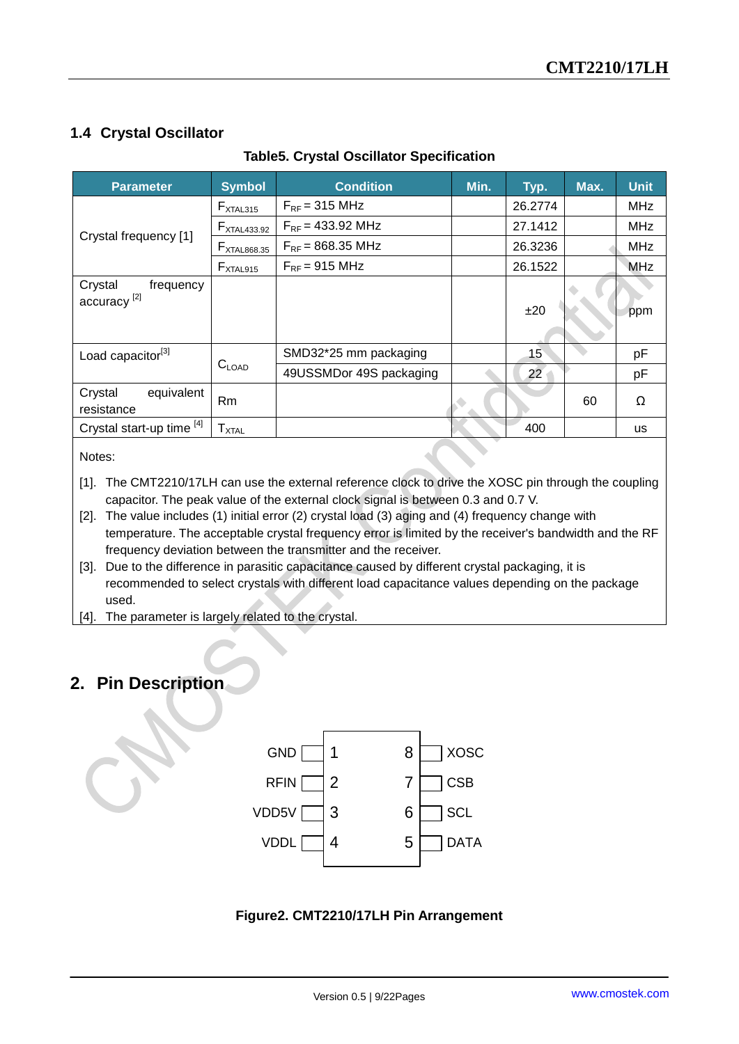#### <span id="page-8-0"></span>**1.4 Crystal Oscillator**

| <b>Parameter</b>                                | <b>Symbol</b>           | <b>Condition</b>        | Min. | Typ.    | Max. | <b>Unit</b> |
|-------------------------------------------------|-------------------------|-------------------------|------|---------|------|-------------|
|                                                 | $F_{XTAL315}$           | $F_{RF}$ = 315 MHz      |      | 26.2774 |      | <b>MHz</b>  |
|                                                 | $F_{\text{XTAL}433.92}$ | $F_{RF}$ = 433.92 MHz   |      | 27.1412 |      | <b>MHz</b>  |
| Crystal frequency [1]                           | $F_{XTAL868.35}$        | $F_{RF}$ = 868.35 MHz   |      | 26.3236 |      | <b>MHz</b>  |
|                                                 | $F_{XTAL915}$           | $F_{RF}$ = 915 MHz      |      | 26.1522 |      | <b>MHz</b>  |
| Crystal<br>frequency<br>accuracy <sup>[2]</sup> |                         |                         |      | ±20     |      | ppm         |
| Load capacitor <sup>[3]</sup>                   |                         | SMD32*25 mm packaging   |      | 15      |      | pF          |
|                                                 | $C_{\text{LOAD}}$       | 49USSMDor 49S packaging |      | 22      |      | pF          |
| equivalent<br>Crystal<br>resistance             | Rm                      |                         |      |         | 60   | Ω           |
| Crystal start-up time [4]                       | ${\sf T}_{\sf X TAL}$   |                         |      | 400     |      | <b>us</b>   |

#### **Table5. Crystal Oscillator Specification**

Notes:

[1]. The CMT2210/17LH can use the external reference clock to drive the XOSC pin through the coupling capacitor. The peak value of the external clock signal is between 0.3 and 0.7 V.

- [2]. The value includes (1) initial error (2) crystal load (3) aging and (4) frequency change with temperature. The acceptable crystal frequency error is limited by the receiver's bandwidth and the RF frequency deviation between the transmitter and the receiver.
- [3]. Due to the difference in parasitic capacitance caused by different crystal packaging, it is recommended to select crystals with different load capacitance values depending on the package used.
- [4]. The parameter is largely related to the crystal.

#### <span id="page-8-1"></span>**2. Pin Description**



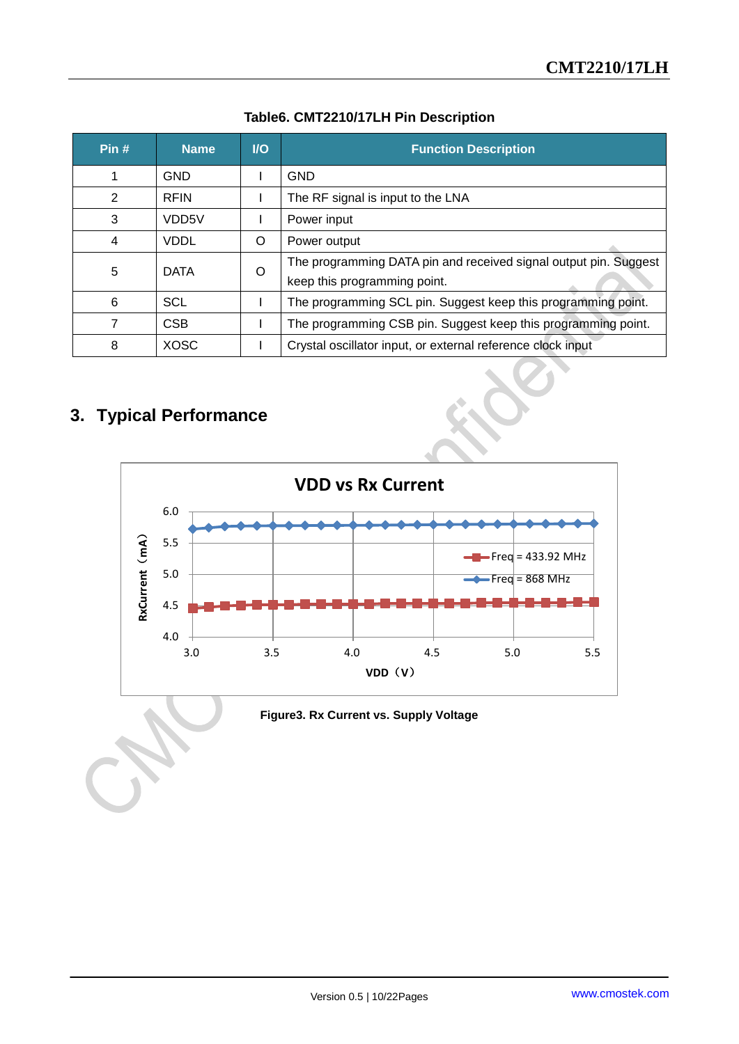| Pin# | <b>Name</b>        | $U$      | <b>Function Description</b>                                                                      |
|------|--------------------|----------|--------------------------------------------------------------------------------------------------|
|      | <b>GND</b>         |          | <b>GND</b>                                                                                       |
| 2    | <b>RFIN</b>        |          | The RF signal is input to the LNA                                                                |
| 3    | VDD <sub>5</sub> V |          | Power input                                                                                      |
| 4    | <b>VDDL</b>        | $\Omega$ | Power output                                                                                     |
| 5    | <b>DATA</b>        | $\Omega$ | The programming DATA pin and received signal output pin. Suggest<br>keep this programming point. |
| 6    | SCL                |          | The programming SCL pin. Suggest keep this programming point.                                    |
|      | <b>CSB</b>         |          | The programming CSB pin. Suggest keep this programming point.                                    |
| 8    | <b>XOSC</b>        |          | Crystal oscillator input, or external reference clock input                                      |

#### **Table6. CMT2210/17LH Pin Description**

## <span id="page-9-0"></span>**3. Typical Performance**

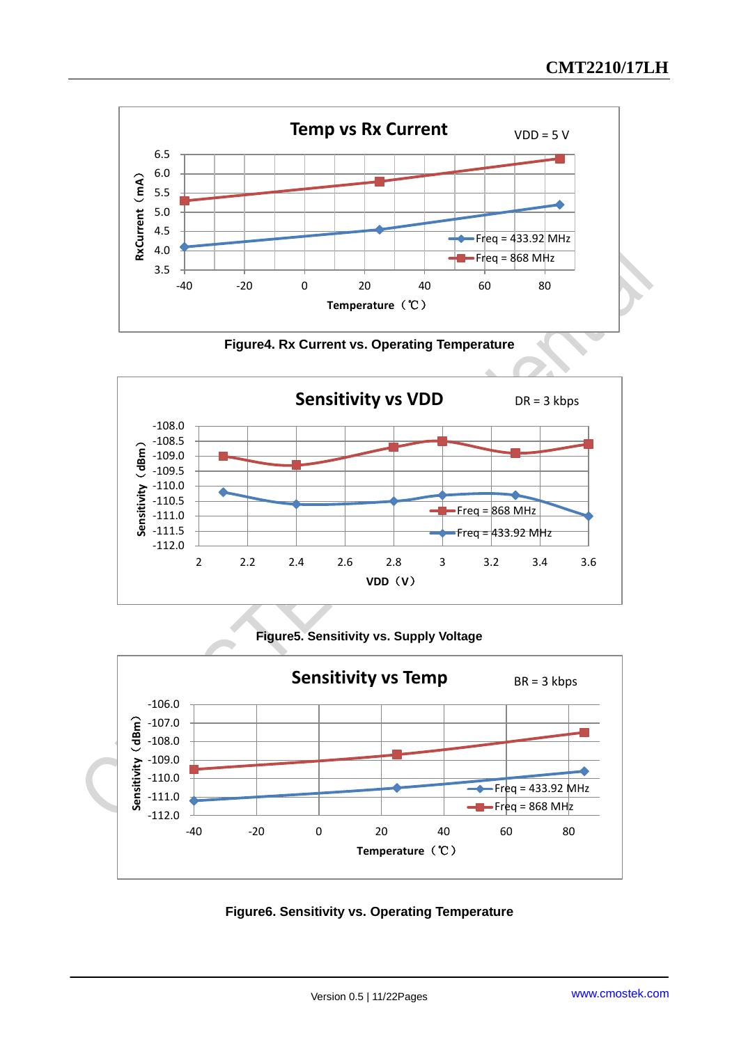

**Figure4. Rx Current vs. Operating Temperature**



#### **Figure5. Sensitivity vs. Supply Voltage**



**Figure6. Sensitivity vs. Operating Temperature**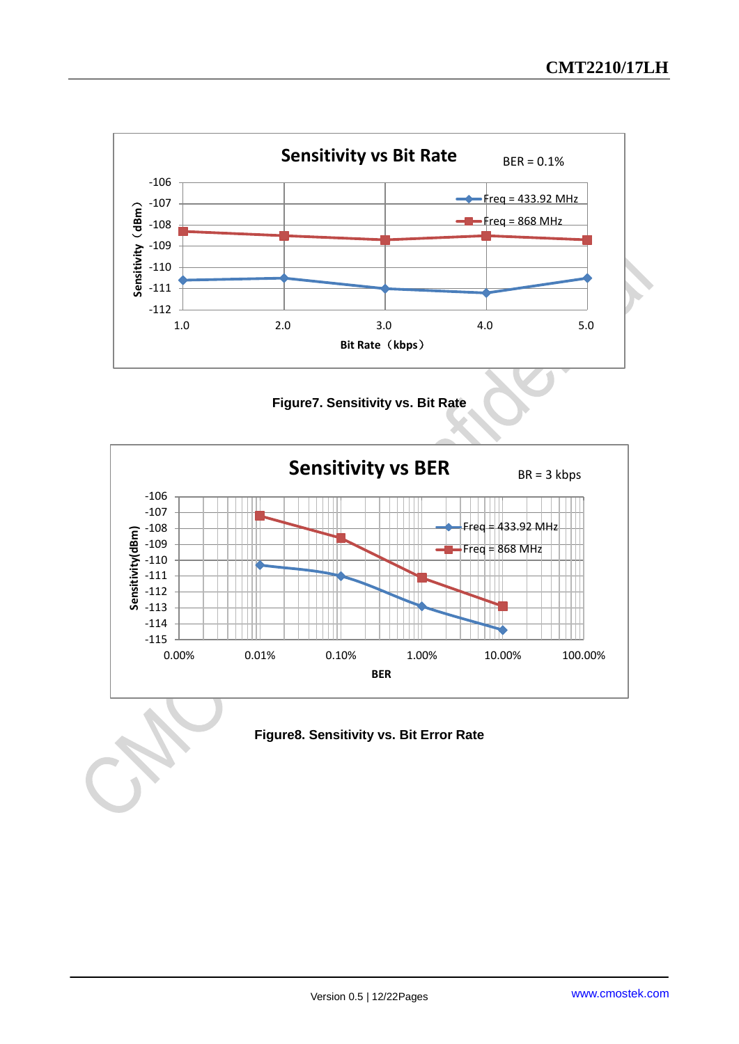





**Figure8. Sensitivity vs. Bit Error Rate**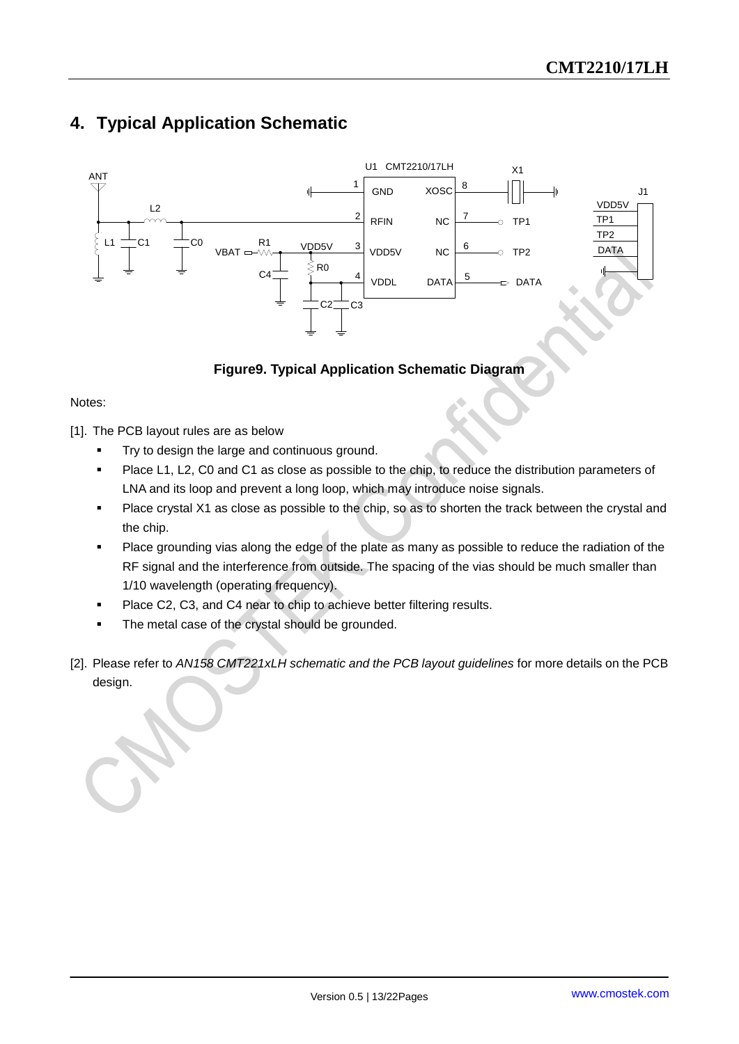## <span id="page-12-0"></span>**4. Typical Application Schematic**



#### **Figure9. Typical Application Schematic Diagram**

#### Notes:

[1]. The PCB layout rules are as below

- Try to design the large and continuous ground.
- **Place L1, L2, C0 and C1 as close as possible to the chip, to reduce the distribution parameters of** LNA and its loop and prevent a long loop, which may introduce noise signals.
- Place crystal X1 as close as possible to the chip, so as to shorten the track between the crystal and the chip.
- Place grounding vias along the edge of the plate as many as possible to reduce the radiation of the RF signal and the interference from outside. The spacing of the vias should be much smaller than 1/10 wavelength (operating frequency).
- Place C2, C3, and C4 near to chip to achieve better filtering results.
- The metal case of the crystal should be grounded.
- [2]. Please refer to *AN158 CMT221xLH schematic and the PCB layout guidelines* for more details on the PCB design.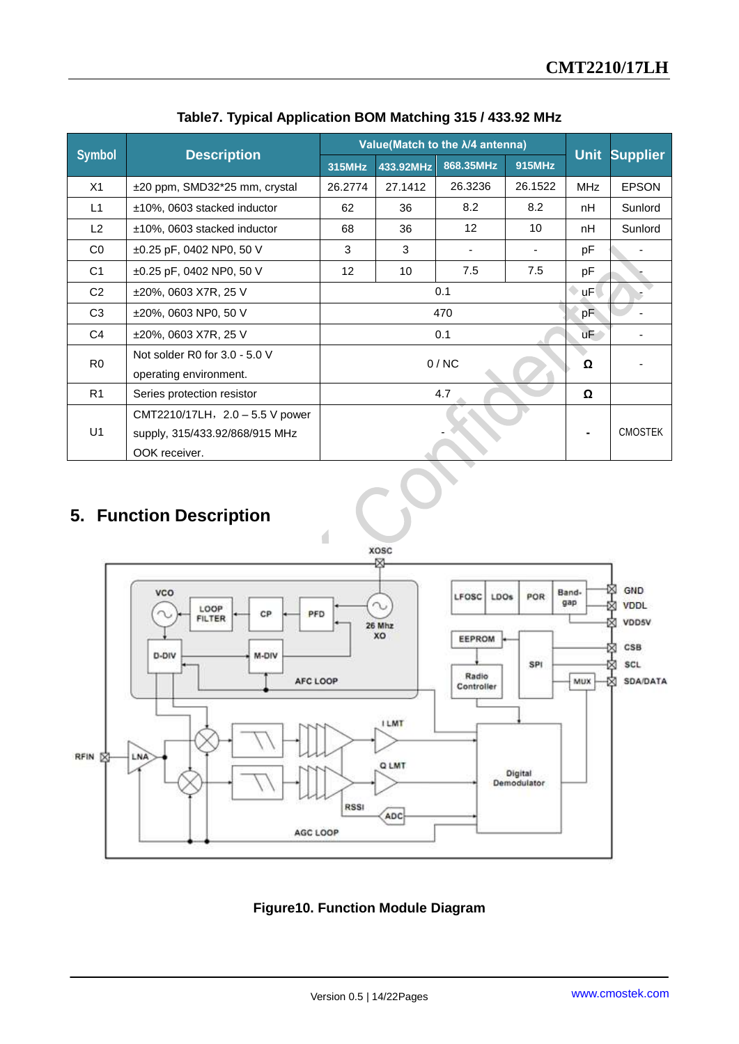|                |                                 | Value(Match to the $\lambda$ /4 antenna) |           |                   |         |             |                 |
|----------------|---------------------------------|------------------------------------------|-----------|-------------------|---------|-------------|-----------------|
| <b>Symbol</b>  | <b>Description</b>              | 315MHz                                   | 433.92MHz | 868.35MHz         | 915MHz  | <b>Unit</b> | <b>Supplier</b> |
| X1             | ±20 ppm, SMD32*25 mm, crystal   | 26.2774                                  | 27.1412   | 26.3236           | 26.1522 | <b>MHz</b>  | <b>EPSON</b>    |
| L1             | ±10%, 0603 stacked inductor     | 62                                       | 36        | 8.2               | 8.2     | nH          | Sunlord         |
| L2             | ±10%, 0603 stacked inductor     | 68                                       | 36        | $12 \overline{ }$ | 10      | nH          | Sunlord         |
| CO             | $\pm 0.25$ pF, 0402 NP0, 50 V   | 3                                        | 3         |                   |         | рF          |                 |
| C <sub>1</sub> | $\pm 0.25$ pF, 0402 NP0, 50 V   | 12 <sup>2</sup>                          | 10        | 7.5               | 7.5     | рF          |                 |
| C <sub>2</sub> | ±20%, 0603 X7R, 25 V            | 0.1                                      |           |                   | uF      |             |                 |
| C <sub>3</sub> | ±20%, 0603 NP0, 50 V            | 470                                      |           |                   | pF      |             |                 |
| C <sub>4</sub> | ±20%, 0603 X7R, 25 V            |                                          |           | 0.1               |         | uF          |                 |
| R <sub>0</sub> | Not solder R0 for $3.0 - 5.0$ V |                                          |           |                   |         | Ω           |                 |
|                | operating environment.          |                                          | 0/NC      |                   |         |             |                 |
| R <sub>1</sub> | Series protection resistor      | 4.7                                      |           |                   | Ω       |             |                 |
|                | CMT2210/17LH, 2.0 - 5.5 V power |                                          |           |                   |         |             |                 |
| U1             | supply, 315/433.92/868/915 MHz  |                                          |           |                   |         |             | <b>CMOSTEK</b>  |
|                | OOK receiver.                   |                                          |           |                   |         |             |                 |

**Table7. Typical Application BOM Matching 315 / 433.92 MHz** 

## <span id="page-13-0"></span>**5. Function Description**



**Figure10. Function Module Diagram**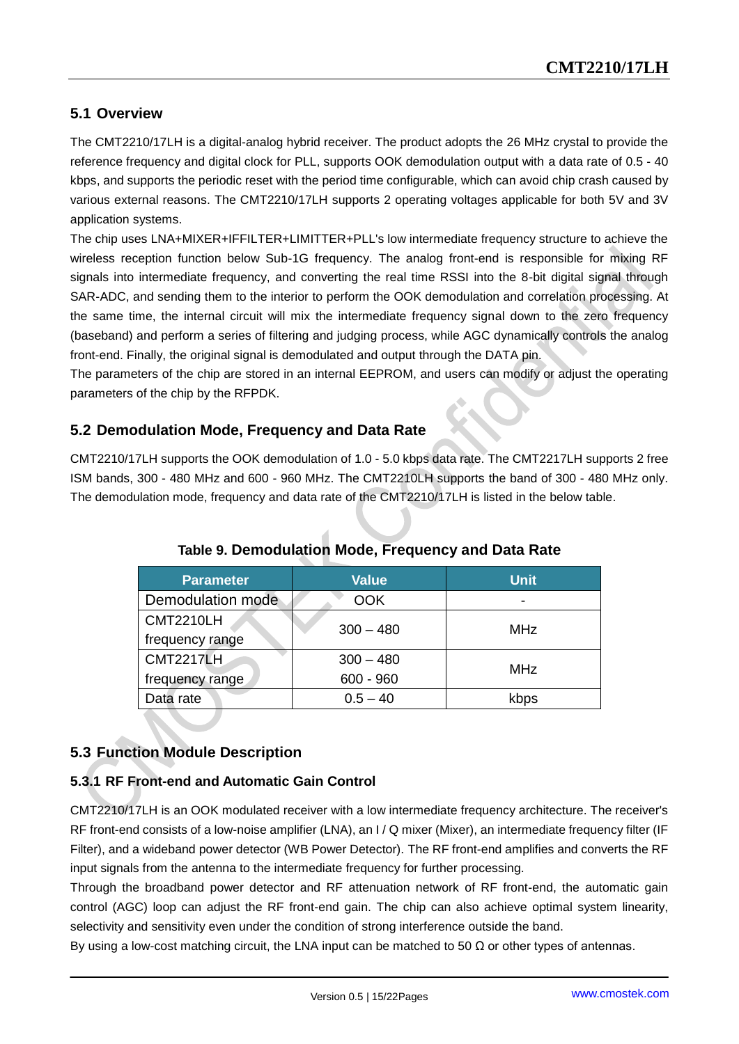#### <span id="page-14-0"></span>**5.1 Overview**

The CMT2210/17LH is a digital-analog hybrid receiver. The product adopts the 26 MHz crystal to provide the reference frequency and digital clock for PLL, supports OOK demodulation output with a data rate of 0.5 - 40 kbps, and supports the periodic reset with the period time configurable, which can avoid chip crash caused by various external reasons. The CMT2210/17LH supports 2 operating voltages applicable for both 5V and 3V application systems.

The chip uses LNA+MIXER+IFFILTER+LIMITTER+PLL's low intermediate frequency structure to achieve the wireless reception function below Sub-1G frequency. The analog front-end is responsible for mixing RF signals into intermediate frequency, and converting the real time RSSI into the 8-bit digital signal through SAR-ADC, and sending them to the interior to perform the OOK demodulation and correlation processing. At the same time, the internal circuit will mix the intermediate frequency signal down to the zero frequency (baseband) and perform a series of filtering and judging process, while AGC dynamically controls the analog front-end. Finally, the original signal is demodulated and output through the DATA pin.

The parameters of the chip are stored in an internal EEPROM, and users can modify or adjust the operating parameters of the chip by the RFPDK.

#### <span id="page-14-1"></span>**5.2 Demodulation Mode, Frequency and Data Rate**

CMT2210/17LH supports the OOK demodulation of 1.0 - 5.0 kbps data rate. The CMT2217LH supports 2 free ISM bands, 300 - 480 MHz and 600 - 960 MHz. The CMT2210LH supports the band of 300 - 480 MHz only. The demodulation mode, frequency and data rate of the CMT2210/17LH is listed in the below table.

| <b>Parameter</b>  | <b>Value</b> | <b>Unit</b> |
|-------------------|--------------|-------------|
| Demodulation mode | <b>OOK</b>   |             |
| <b>CMT2210LH</b>  | $300 - 480$  | MHz         |
| frequency range   |              |             |
| <b>CMT2217LH</b>  | $300 - 480$  | MHz         |
| frequency range   | $600 - 960$  |             |
| Data rate         | $0.5 - 40$   | kbps        |

**Table 9. Demodulation Mode, Frequency and Data Rate**

#### <span id="page-14-2"></span>**5.3 Function Module Description**

#### <span id="page-14-3"></span>**5.3.1 RF Front-end and Automatic Gain Control**

CMT2210/17LH is an OOK modulated receiver with a low intermediate frequency architecture. The receiver's RF front-end consists of a low-noise amplifier (LNA), an I / Q mixer (Mixer), an intermediate frequency filter (IF Filter), and a wideband power detector (WB Power Detector). The RF front-end amplifies and converts the RF input signals from the antenna to the intermediate frequency for further processing.

Through the broadband power detector and RF attenuation network of RF front-end, the automatic gain control (AGC) loop can adjust the RF front-end gain. The chip can also achieve optimal system linearity, selectivity and sensitivity even under the condition of strong interference outside the band.

By using a low-cost matching circuit, the LNA input can be matched to 50  $\Omega$  or other types of antennas.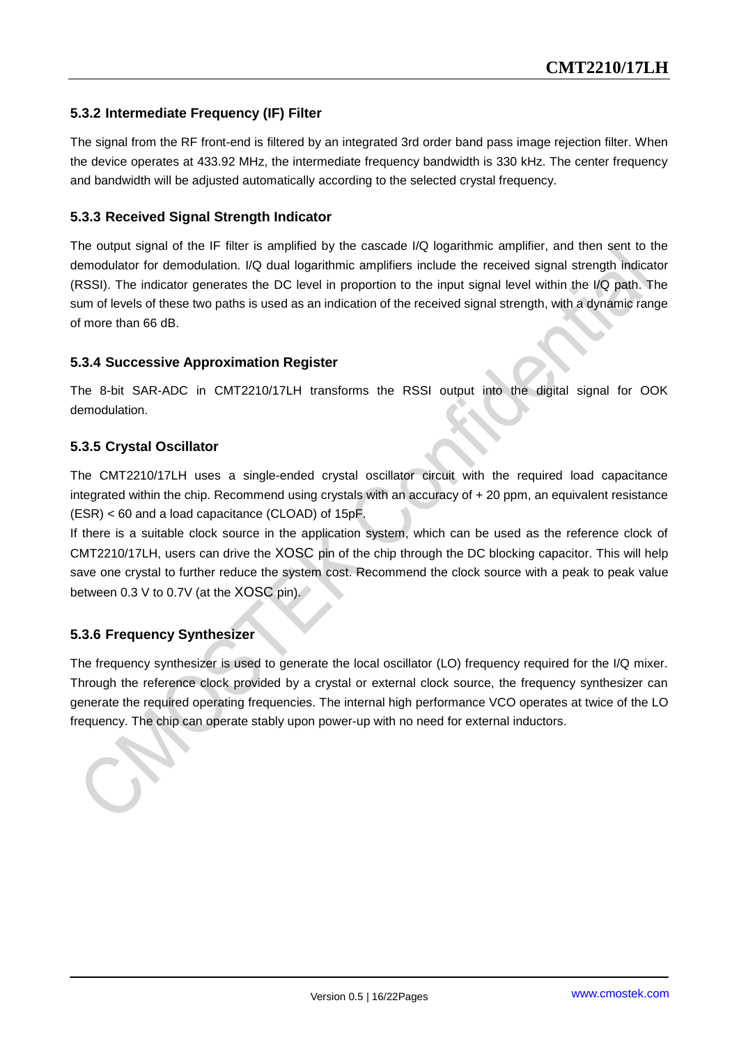#### <span id="page-15-0"></span>**5.3.2 Intermediate Frequency (IF) Filter**

The signal from the RF front-end is filtered by an integrated 3rd order band pass image rejection filter. When the device operates at 433.92 MHz, the intermediate frequency bandwidth is 330 kHz. The center frequency and bandwidth will be adjusted automatically according to the selected crystal frequency.

#### <span id="page-15-1"></span>**5.3.3 Received Signal Strength Indicator**

The output signal of the IF filter is amplified by the cascade I/Q logarithmic amplifier, and then sent to the demodulator for demodulation. I/Q dual logarithmic amplifiers include the received signal strength indicator (RSSI). The indicator generates the DC level in proportion to the input signal level within the I/Q path. The sum of levels of these two paths is used as an indication of the received signal strength, with a dynamic range of more than 66 dB.

#### <span id="page-15-2"></span>**5.3.4 Successive Approximation Register**

The 8-bit SAR-ADC in CMT2210/17LH transforms the RSSI output into the digital signal for OOK demodulation.

#### <span id="page-15-3"></span>**5.3.5 Crystal Oscillator**

The CMT2210/17LH uses a single-ended crystal oscillator circuit with the required load capacitance integrated within the chip. Recommend using crystals with an accuracy of + 20 ppm, an equivalent resistance (ESR) < 60 and a load capacitance (CLOAD) of 15pF.

If there is a suitable clock source in the application system, which can be used as the reference clock of CMT2210/17LH, users can drive the XOSC pin of the chip through the DC blocking capacitor. This will help save one crystal to further reduce the system cost. Recommend the clock source with a peak to peak value between 0.3 V to 0.7V (at the XOSC pin).

#### <span id="page-15-4"></span>**5.3.6 Frequency Synthesizer**

The frequency synthesizer is used to generate the local oscillator (LO) frequency required for the I/Q mixer. Through the reference clock provided by a crystal or external clock source, the frequency synthesizer can generate the required operating frequencies. The internal high performance VCO operates at twice of the LO frequency. The chip can operate stably upon power-up with no need for external inductors.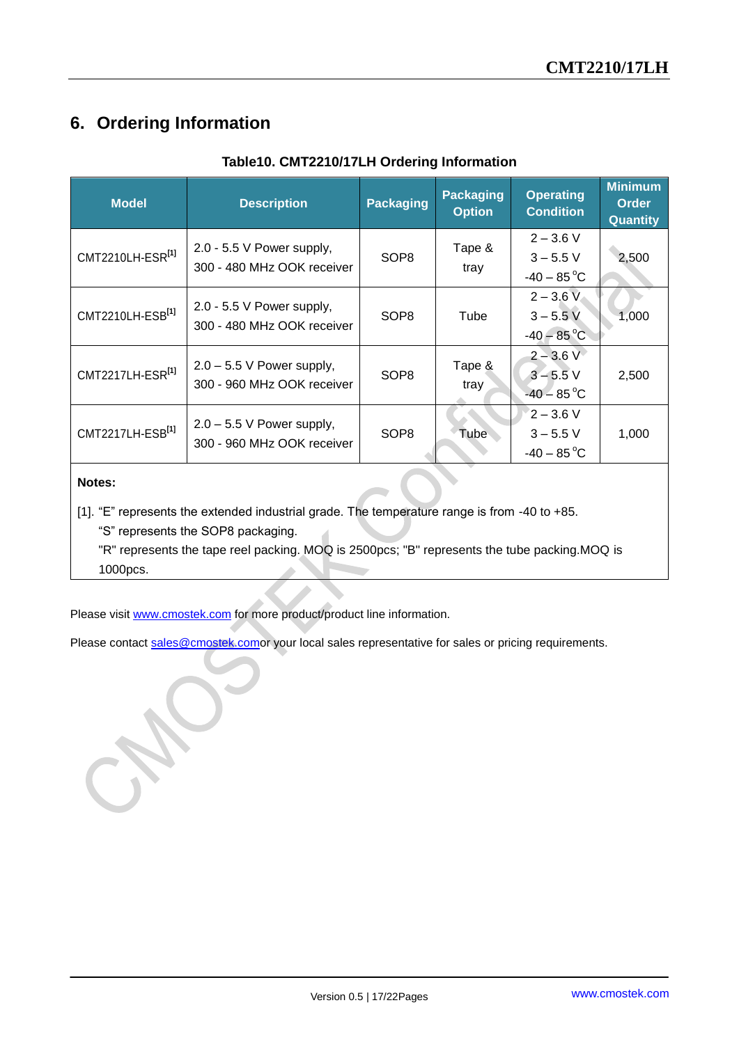## <span id="page-16-0"></span>**6. Ordering Information**

| <b>Model</b>                 | <b>Description</b>                                        | <b>Packaging</b> | <b>Packaging</b><br><b>Option</b> | <b>Operating</b><br><b>Condition</b>                    | <b>Minimum</b><br><b>Order</b><br><b>Quantity</b> |
|------------------------------|-----------------------------------------------------------|------------------|-----------------------------------|---------------------------------------------------------|---------------------------------------------------|
| CMT2210LH-ESR <sup>[1]</sup> | 2.0 - 5.5 V Power supply,<br>300 - 480 MHz OOK receiver   | SOP <sub>8</sub> | Tape &<br>tray                    | $2 - 3.6$ V<br>$3 - 5.5$ V<br>$-40 - 85^{\circ}$ C      | 2,500                                             |
| CMT2210LH-ESB <sup>[1]</sup> | 2.0 - 5.5 V Power supply,<br>300 - 480 MHz OOK receiver   | SOP <sub>8</sub> | Tube                              | $2 - 3.6 V$<br>$3 - 5.5$ V<br>$-40 - 85^{\circ}$ C      | 1,000                                             |
| CMT2217LH-ESR <sup>[1]</sup> | $2.0 - 5.5$ V Power supply,<br>300 - 960 MHz OOK receiver | SOP <sub>8</sub> | Tape &<br>tray                    | $2 - 3.6 V$<br>$3 - 5.5$ V<br>$-40 - 85$ <sup>°</sup> C | 2,500                                             |
| CMT2217LH-ESB <sup>[1]</sup> | $2.0 - 5.5$ V Power supply,<br>300 - 960 MHz OOK receiver | SOP <sub>8</sub> | Tube                              | $2 - 3.6$ V<br>$3 - 5.5$ V<br>$-40 - 85^{\circ}$ C      | 1,000                                             |
| Notes:                       |                                                           |                  |                                   |                                                         |                                                   |

#### **Table10. CMT2210/17LH Ordering Information**

[1]. "E" represents the extended industrial grade. The temperature range is from -40 to +85.

"S" represents the SOP8 packaging.

"R" represents the tape reel packing. MOQ is 2500pcs; "B" represents the tube packing.MOQ is 1000pcs.

Please visit [www.cmostek.com](http://www.cmostek.com/) for more product/product line information.

Please contact [sales@cmostek.como](mailto:sales@cmostek.com)r your local sales representative for sales or pricing requirements.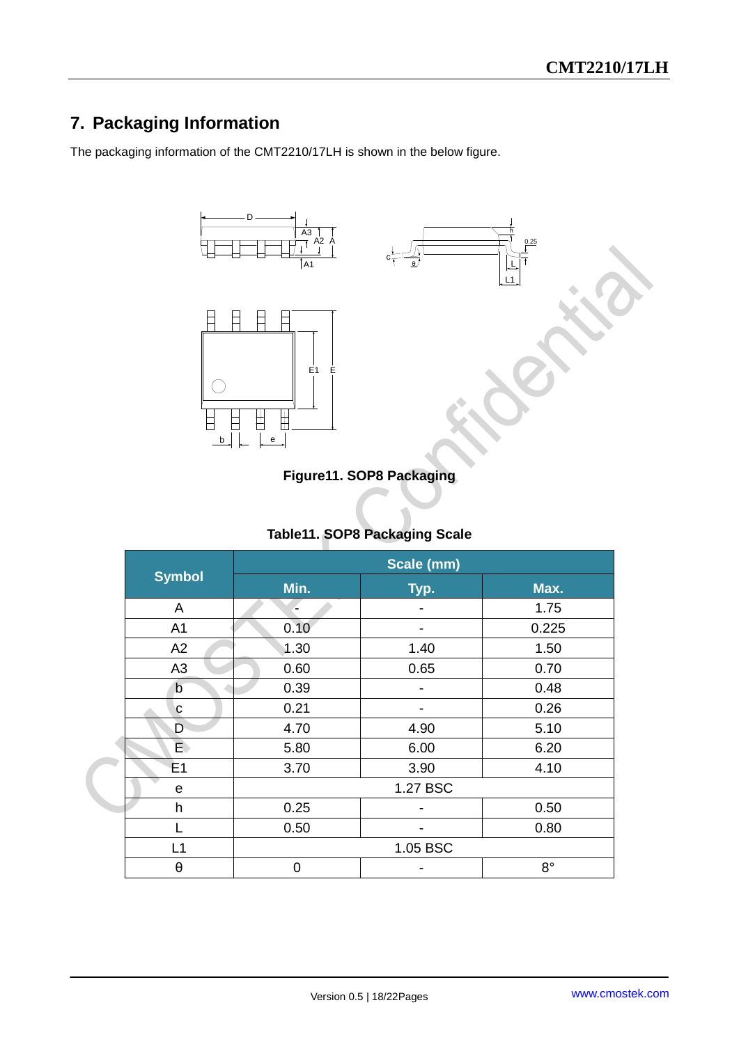## <span id="page-17-0"></span>**7. Packaging Information**

The packaging information of the CMT2210/17LH is shown in the below figure.



#### **Figure11. SOP8 Packaging**

#### **Table11. SOP8 Packaging Scale**

| <b>Symbol</b>  | Scale (mm) |          |             |  |
|----------------|------------|----------|-------------|--|
|                | Min.       | Typ.     | Max.        |  |
| A              |            |          | 1.75        |  |
| A <sub>1</sub> | 0.10       |          | 0.225       |  |
| A2             | 1.30       | 1.40     | 1.50        |  |
| A <sub>3</sub> | 0.60       | 0.65     | 0.70        |  |
| b              | 0.39       |          | 0.48        |  |
| C              | 0.21       |          | 0.26        |  |
| D              | 4.70       | 4.90     | 5.10        |  |
| $\overline{E}$ | 5.80       | 6.00     | 6.20        |  |
| E <sub>1</sub> | 3.70       | 3.90     | 4.10        |  |
| e              |            | 1.27 BSC |             |  |
| h              | 0.25       |          | 0.50        |  |
|                | 0.50       |          | 0.80        |  |
| L1             |            | 1.05 BSC |             |  |
| θ              | 0          |          | $8^{\circ}$ |  |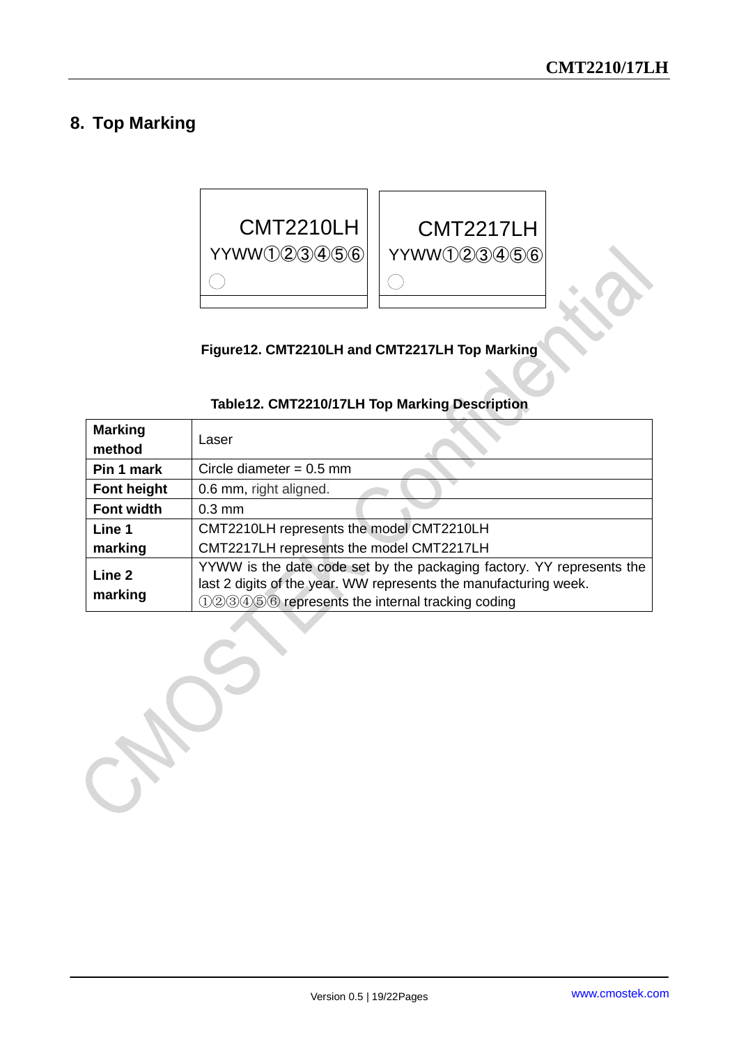## <span id="page-18-0"></span>**8. Top Marking**



**Figure12. CMT2210LH and CMT2217LH Top Marking**

| <b>Marking</b><br>method | Laser                                                                                                                                                                                               |  |
|--------------------------|-----------------------------------------------------------------------------------------------------------------------------------------------------------------------------------------------------|--|
| Pin 1 mark               | Circle diameter = $0.5$ mm                                                                                                                                                                          |  |
| Font height              | 0.6 mm, right aligned.                                                                                                                                                                              |  |
| <b>Font width</b>        | $0.3 \text{ mm}$                                                                                                                                                                                    |  |
| Line 1                   | CMT2210LH represents the model CMT2210LH                                                                                                                                                            |  |
| marking                  | CMT2217LH represents the model CMT2217LH                                                                                                                                                            |  |
| Line 2<br>marking        | YYWW is the date code set by the packaging factory. YY represents the<br>last 2 digits of the year. WW represents the manufacturing week.<br>$(12)3(4)5(6)$ represents the internal tracking coding |  |

#### **Table12. CMT2210/17LH Top Marking Description**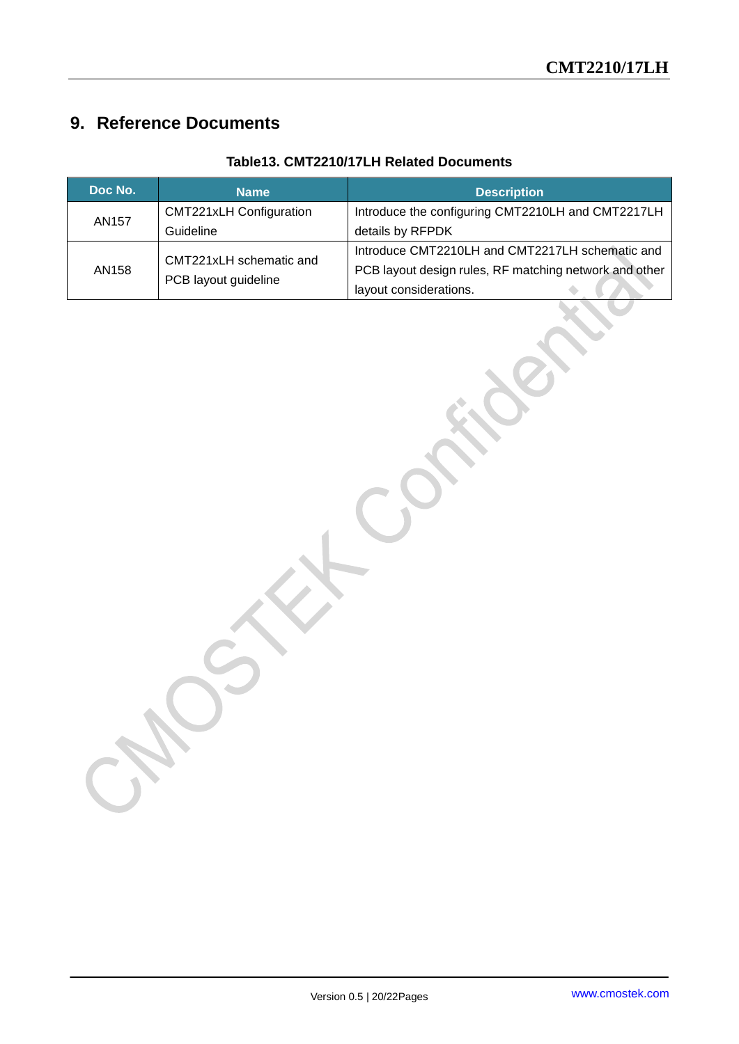## <span id="page-19-0"></span>**9. Reference Documents**

| Doc No.      | <b>Name</b>                                     | <b>Description</b>                                     |  |
|--------------|-------------------------------------------------|--------------------------------------------------------|--|
| <b>AN157</b> | <b>CMT221xLH Configuration</b>                  | Introduce the configuring CMT2210LH and CMT2217LH      |  |
|              | Guideline                                       | details by RFPDK                                       |  |
| AN158        | CMT221xLH schematic and<br>PCB layout guideline | Introduce CMT2210LH and CMT2217LH schematic and        |  |
|              |                                                 | PCB layout design rules, RF matching network and other |  |
|              |                                                 | layout considerations.                                 |  |

#### **Table13. CMT2210/17LH Related Documents**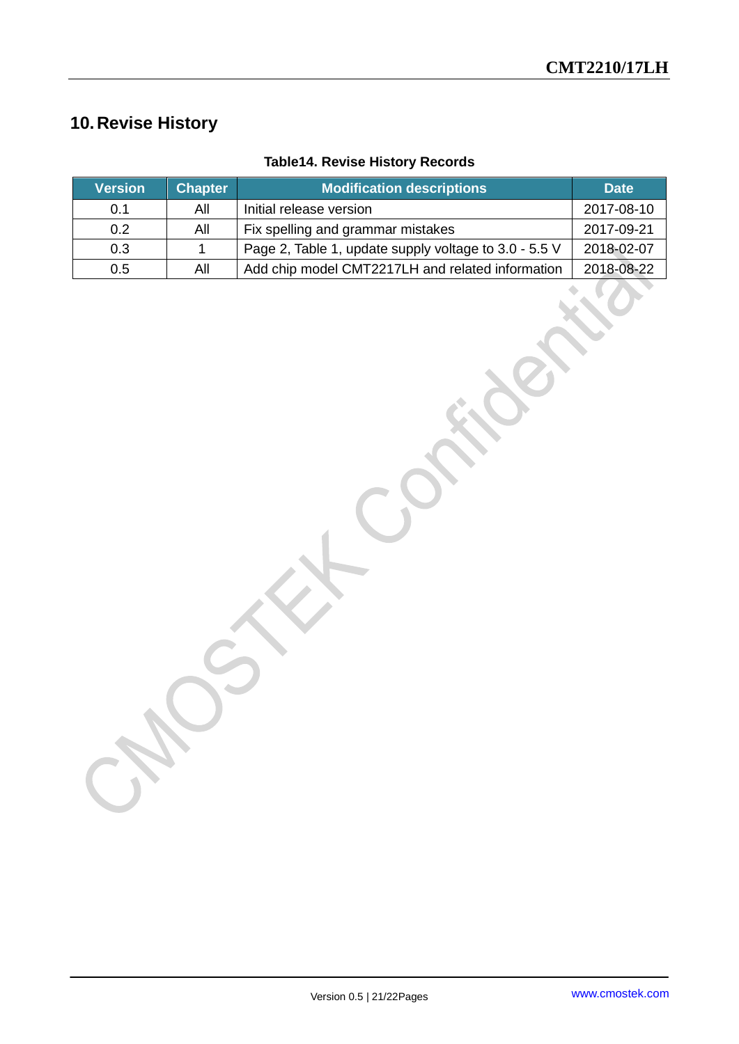## <span id="page-20-0"></span>**10.Revise History**

| <b>Version</b> | <b>Chapter</b> | <b>Modification descriptions</b>                      | <b>Date</b> |
|----------------|----------------|-------------------------------------------------------|-------------|
| 0.1            | All            | Initial release version                               | 2017-08-10  |
| 0.2            | All            | Fix spelling and grammar mistakes                     | 2017-09-21  |
| 0.3            |                | Page 2, Table 1, update supply voltage to 3.0 - 5.5 V | 2018-02-07  |
| 0.5            | All            | Add chip model CMT2217LH and related information      | 2018-08-22  |

## **Table14. Revise History Records**